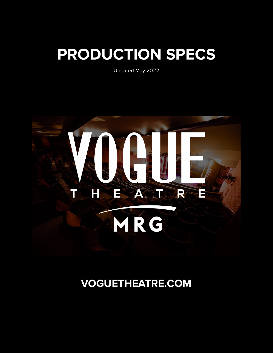# **PRODUCTION SPECS**

Updated May 2022



# **VOGUETHEATRE.COM**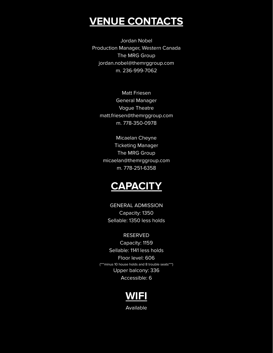### **VENUE CONTACTS**

Jordan Nobel Production Manager, Western Canada The MRG Group jordan.nobel@themrggroup.com m. 236-999-7062

Matt Friesen General Manager Vogue Theatre matt.friesen@themrggroup.com m. 778-350-0978

Micaelan Cheyne Ticketing Manager The MRG Group micaelan@themrggroup.com m. 778-251-6358



GENERAL ADMISSION Capacity: 1350 Sellable: 1350 less holds

#### RESERVED

Capacity: 1159 Sellable: 1141 less holds Floor level: 606 (\*\*\*minus 10 house holds and 8 trouble seats\*\*\*) Upper balcony: 336 Accessible: 6



Available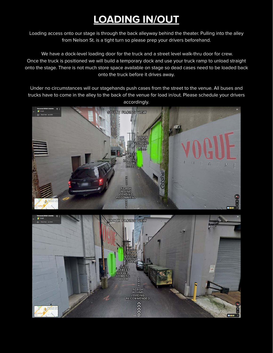# **LOADING IN/OUT**

Loading access onto our stage is through the back alleyway behind the theater. Pulling into the alley from Nelson St. is a tight turn so please prep your drivers beforehand.

We have a dock-level loading door for the truck and a street level walk-thru door for crew. Once the truck is positioned we will build a temporary dock and use your truck ramp to unload straight onto the stage. There is not much store space available on stage so dead cases need to be loaded back onto the truck before it drives away.

Under no circumstances will our stagehands push cases from the street to the venue. All buses and trucks have to come in the alley to the back of the venue for load in/out. Please schedule your drivers accordingly.



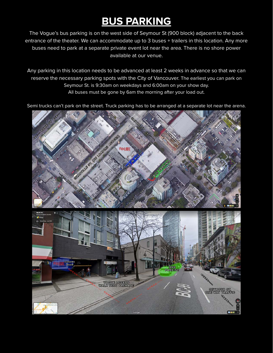# **BUS PARKING**

The Vogue's bus parking is on the west side of Seymour St (900 block) adjacent to the back entrance of the theater. We can accommodate up to 3 buses + trailers in this location. Any more buses need to park at a separate private event lot near the area. There is no shore power available at our venue.

Any parking in this location needs to be advanced at least 2 weeks in advance so that we can reserve the necessary parking spots with the City of Vancouver. The earliest you can park on Seymour St. is 9:30am on weekdays and 6:00am on your show day. All buses must be gone by 6am the morning after your load out.

Semi trucks can't park on the street. Truck parking has to be arranged at a separate lot near the arena.

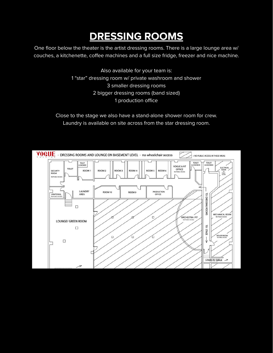# **DRESSING ROOMS**

One floor below the theater is the artist dressing rooms. There is a large lounge area w/ couches, a kitchenette, coffee machines and a full size fridge, freezer and nice machine.

> Also available for your team is: 1 "star" dressing room w/ private washroom and shower 3 smaller dressing rooms 2 bigger dressing rooms (band sized) 1 production office

Close to the stage we also have a stand-alone shower room for crew. Laundry is available on site across from the star dressing room.

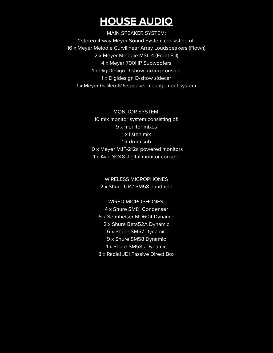## **HOUSE AUDIO**

MAIN SPEAKER SYSTEM: 1 stereo 4-way Meyer Sound System consisting of: 16 x Meyer Melodie Curvilinear Array Loudspeakers (Flown) 2 x Meyer Melodie MSL-4 (Front Fill) 4 x Meyer 700HP Subwoofers 1 x DigiDesign D-show mixing console 1 x Digidesign D-show sidecar 1 x Meyer Galileo 616 speaker management system

> MONITOR SYSTEM: 10 mix monitor system consisting of: 9 x monitor mixes 1 x listen mix 1 x drum sub 10 x Meyer MJF-212a powered monitors 1 x Avid SC48 digital monitor console

> > WIRELESS MICROPHONES

2 x Shure UR2 SM58 handheld

WIRED MICROPHONES:

4 x Shure SM81 Condenser

5 x Sennheiser MD604 Dynamic

2 x Shure Beta52A Dynamic

6 x Shure SM57 Dynamic

9 x Shure SM58 Dynamic

1 x Shure SM58s Dynamic

8 x Radial JDI Passive Direct Box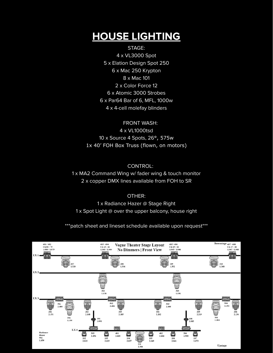# **HOUSE LIGHTING**

STAGE: 4 x VL3000 Spot 5 x Elation Design Spot 250 6 x Mac 250 Krypton 8 x Mac 101 2 x Color Force 12 6 x Atomic 3000 Strobes 6 x Par64 Bar of 6, MFL, 1000w 4 x 4-cell molefay blinders

FRONT WASH: 4 x VL1000tsd 10 x Source 4 Spots, 26°, 575w 1x 40' FOH Box Truss (flown, on motors)

CONTROL: 1 x MA2 Command Wing w/ fader wing & touch monitor 2 x copper DMX lines available from FOH to SR

OTHER: 1 x Radiance Hazer @ Stage Right 1 x Spot Light @ over the upper balcony, house right

\*\*\*patch sheet and lineset schedule available upon request\*\*\*

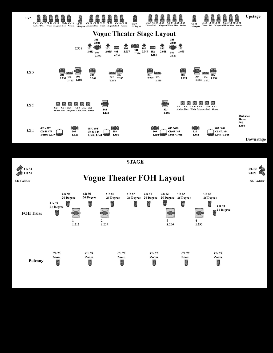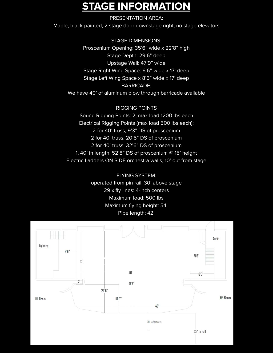# **STAGE INFORMATION**

#### PRESENTATION AREA:

Maple, black painted, 2 stage door downstage right, no stage elevators

STAGE DIMENSIONS: Proscenium Opening: 35'6" wide x 22'8" high Stage Depth: 29'6" deep Upstage Wall: 47'9" wide Stage Right Wing Space: 6'6" wide x 17' deep Stage Left Wing Space x 8'6" wide x 17' deep BARRICADE: We have 40' of aluminum blow through barricade available

RIGGING POINTS Sound Rigging Points: 2, max load 1200 lbs each Electrical Rigging Points (max load 500 lbs each): 2 for 40' truss, 9'3" DS of proscenium 2 for 40' truss, 20'5" DS of proscenium 2 for 40' truss, 32'6" DS of proscenium 1, 40' in length, 52'8" DS of proscenium @ 15' height Electric Ladders ON SIDE orchestra walls, 10' out from stage

> FLYING SYSTEM: operated from pin rail, 30' above stage 29 x fly lines: 4-inch centers Maximum load: 500 lbs Maximum flying height: 54' Pipe length: 42'